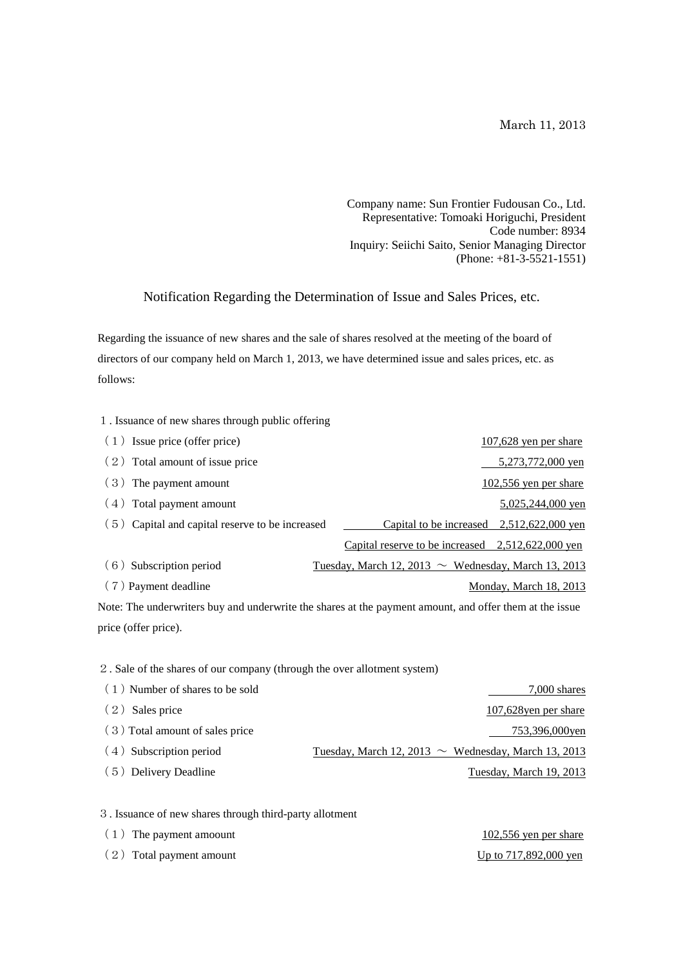March 11, 2013

Company name: Sun Frontier Fudousan Co., Ltd. Representative: Tomoaki Horiguchi, President Code number: 8934 Inquiry: Seiichi Saito, Senior Managing Director (Phone: +81-3-5521-1551)

## Notification Regarding the Determination of Issue and Sales Prices, etc.

Regarding the issuance of new shares and the sale of shares resolved at the meeting of the board of directors of our company held on March 1, 2013, we have determined issue and sales prices, etc. as follows:

1. Issuance of new shares through public offering

| $(1)$ Issue price (offer price)                                                                         | $107,628$ yen per share                                  |  |  |  |
|---------------------------------------------------------------------------------------------------------|----------------------------------------------------------|--|--|--|
| (2) Total amount of issue price                                                                         | 5,273,772,000 yen                                        |  |  |  |
| (3) The payment amount                                                                                  | $102,556$ yen per share                                  |  |  |  |
| $(4)$ Total payment amount                                                                              | $5,025,244,000$ yen                                      |  |  |  |
| (5) Capital and capital reserve to be increased                                                         | Capital to be increased $2,512,622,000$ yen              |  |  |  |
|                                                                                                         | Capital reserve to be increased $2,512,622,000$ yen      |  |  |  |
| (6) Subscription period                                                                                 | Tuesday, March 12, 2013 $\sim$ Wednesday, March 13, 2013 |  |  |  |
| (7) Payment deadline                                                                                    | Monday, March 18, 2013                                   |  |  |  |
| Note: The underwriters buy and underwrite the shares at the payment amount, and offer them at the issue |                                                          |  |  |  |

price (offer price).

## 2. Sale of the shares of our company (through the over allotment system)

| $(1)$ Number of shares to be sold | 7,000 shares                                             |
|-----------------------------------|----------------------------------------------------------|
| $(2)$ Sales price                 | $107,628$ yen per share                                  |
| (3) Total amount of sales price   | 753,396,000yen                                           |
| $(4)$ Subscription period         | Tuesday, March 12, 2013 $\sim$ Wednesday, March 13, 2013 |
| (5) Delivery Deadline             | Tuesday, March 19, 2013                                  |

3. Issuance of new shares through third-party allotment

| $(1)$ The payment amoount  | $102,556$ yen per share |
|----------------------------|-------------------------|
| $(2)$ Total payment amount | Up to 717,892,000 yen   |